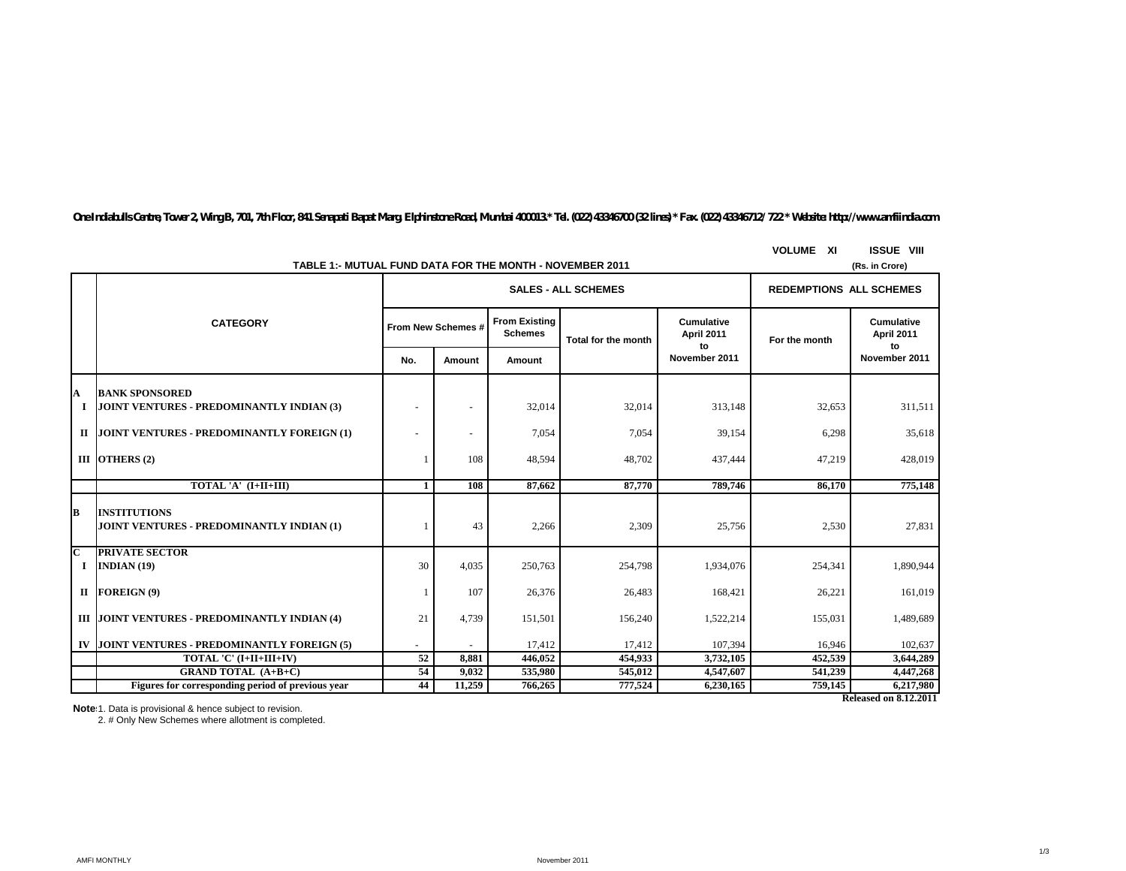*One Indiabulls Centre, Tower 2, Wing B, 701, 7th Floor, 841 Senapati Bapat Marg, Elphinstone Road, Mumbai 400013.\* Tel. (022) 43346700 (32 lines) \* Fax. (022) 43346712/ 722 \* Website: http://www.amfiindia.com*

| TABLE 1:- MUTUAL FUND DATA FOR THE MONTH - NOVEMBER 2011<br>(Rs. in Crore) |                                                                         |                    |                          |                                        |                            |                                       |               |                                       |  |
|----------------------------------------------------------------------------|-------------------------------------------------------------------------|--------------------|--------------------------|----------------------------------------|----------------------------|---------------------------------------|---------------|---------------------------------------|--|
|                                                                            |                                                                         |                    |                          | <b>SALES - ALL SCHEMES</b>             |                            | <b>REDEMPTIONS ALL SCHEMES</b>        |               |                                       |  |
|                                                                            | <b>CATEGORY</b>                                                         | From New Schemes # |                          | <b>From Existing</b><br><b>Schemes</b> | <b>Total for the month</b> | <b>Cumulative</b><br>April 2011<br>to | For the month | <b>Cumulative</b><br>April 2011<br>to |  |
|                                                                            |                                                                         | No.                | Amount                   | Amount                                 |                            | November 2011                         |               | November 2011                         |  |
| A<br>I                                                                     | <b>BANK SPONSORED</b><br>JOINT VENTURES - PREDOMINANTLY INDIAN (3)      |                    |                          | 32,014                                 | 32,014                     | 313,148                               | 32,653        | 311,511                               |  |
|                                                                            | II JOINT VENTURES - PREDOMINANTLY FOREIGN (1)                           |                    | $\overline{\phantom{a}}$ | 7,054                                  | 7,054                      | 39,154                                | 6,298         | 35,618                                |  |
|                                                                            | III OTHERS (2)                                                          |                    | 108                      | 48,594                                 | 48,702                     | 437,444                               | 47,219        | 428,019                               |  |
|                                                                            | TOTAL 'A' (I+II+III)                                                    | $\mathbf{1}$       | 108                      | 87,662                                 | 87,770                     | 789,746                               | 86,170        | 775,148                               |  |
| В                                                                          | <b>INSTITUTIONS</b><br><b>JOINT VENTURES - PREDOMINANTLY INDIAN (1)</b> |                    | 43                       | 2,266                                  | 2,309                      | 25,756                                | 2,530         | 27,831                                |  |
| C<br><b>I</b>                                                              | <b>PRIVATE SECTOR</b><br>INDIAN $(19)$                                  | 30                 | 4,035                    | 250,763                                | 254,798                    | 1,934,076                             | 254,341       | 1,890,944                             |  |
| п                                                                          | FOREIGN (9)                                                             |                    | 107                      | 26,376                                 | 26,483                     | 168,421                               | 26,221        | 161,019                               |  |
|                                                                            | III JOINT VENTURES - PREDOMINANTLY INDIAN (4)                           | 21                 | 4,739                    | 151,501                                | 156,240                    | 1,522,214                             | 155,031       | 1,489,689                             |  |
| IV                                                                         | JOINT VENTURES - PREDOMINANTLY FOREIGN (5)                              |                    |                          | 17,412                                 | 17,412                     | 107,394                               | 16,946        | 102,637                               |  |
|                                                                            | TOTAL 'C' (I+II+III+IV)                                                 | 52                 | 8,881                    | 446,052                                | 454,933                    | 3,732,105                             | 452,539       | 3,644,289                             |  |
|                                                                            | <b>GRAND TOTAL (A+B+C)</b>                                              | 54                 | 9,032                    | 535,980                                | 545,012                    | 4,547,607                             | 541,239       | 4,447,268                             |  |
|                                                                            | Figures for corresponding period of previous year                       | 44                 | 11,259                   | 766,265                                | 777,524                    | 6,230,165                             | 759,145       | 6,217,980                             |  |
|                                                                            |                                                                         |                    |                          |                                        |                            |                                       |               | <b>Released on 8.12.2011</b>          |  |

**VOLUME XI ISSUE VIII**

**Notes:**1. Data is provisional & hence subject to revision.

2. # Only New Schemes where allotment is completed.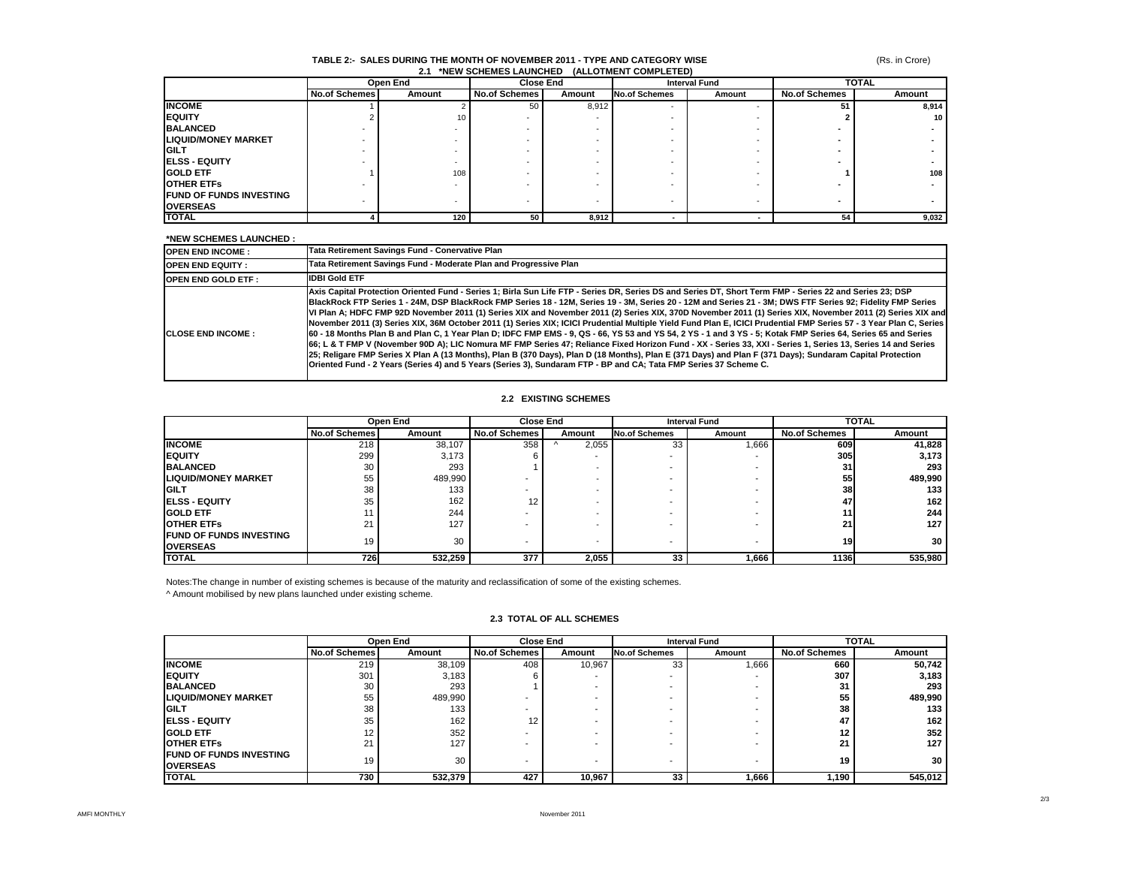## (Rs. in Crore)

### **TABLE 2:- SALES DURING THE MONTH OF NOVEMBER 2011 - TYPE AND CATEGORY WISE 2.1 \*NEW SCHEMES LAUNCHED (ALLOTMENT COMPLETED)**

|                                 | Open End             |        | <b>Close End</b>     |        | <b>Interval Fund</b> |        | <b>TOTAL</b>         |        |
|---------------------------------|----------------------|--------|----------------------|--------|----------------------|--------|----------------------|--------|
|                                 | <b>No.of Schemes</b> | Amount | <b>No.of Schemes</b> | Amount | <b>No.of Schemes</b> | Amount | <b>No.of Schemes</b> | Amount |
| <b>INCOME</b>                   |                      |        | 50                   | 8,912  | <b>.</b>             |        | 51                   | 8,914  |
| <b>IEQUITY</b>                  |                      | 10     |                      |        |                      |        |                      | 10     |
| <b>BALANCED</b>                 |                      |        |                      |        |                      |        |                      |        |
| <b>LIQUID/MONEY MARKET</b>      |                      |        |                      |        |                      |        |                      |        |
| <b>IGILT</b>                    |                      |        |                      |        |                      |        |                      |        |
| <b>ELSS - EQUITY</b>            |                      |        |                      |        |                      |        |                      |        |
| <b>GOLD ETF</b>                 |                      | 108    |                      |        |                      |        |                      | 108    |
| <b>OTHER ETFS</b>               |                      |        |                      |        |                      |        |                      |        |
| <b>IFUND OF FUNDS INVESTING</b> |                      |        |                      |        |                      |        |                      |        |
| <b>OVERSEAS</b>                 |                      |        |                      |        | -                    |        |                      |        |
| <b>TOTAL</b>                    |                      | 120    | 50                   | 8,912  | -                    |        | 54                   | 9,032  |

#### **\*NEW SCHEMES LAUNCHED :**

| <b>OPEN END INCOME:</b>   | Tata Retirement Savings Fund - Conervative Plan                                                                                                                                                                                                                                                                                                                                                                                                                                                                                                                                                                                                                                                                                                                                                                                                                                                                                                                                                                                                                                                                                                                                                                                                                                |
|---------------------------|--------------------------------------------------------------------------------------------------------------------------------------------------------------------------------------------------------------------------------------------------------------------------------------------------------------------------------------------------------------------------------------------------------------------------------------------------------------------------------------------------------------------------------------------------------------------------------------------------------------------------------------------------------------------------------------------------------------------------------------------------------------------------------------------------------------------------------------------------------------------------------------------------------------------------------------------------------------------------------------------------------------------------------------------------------------------------------------------------------------------------------------------------------------------------------------------------------------------------------------------------------------------------------|
| <b>OPEN END EQUITY:</b>   | Tata Retirement Savings Fund - Moderate Plan and Progressive Plan                                                                                                                                                                                                                                                                                                                                                                                                                                                                                                                                                                                                                                                                                                                                                                                                                                                                                                                                                                                                                                                                                                                                                                                                              |
| <b>OPEN END GOLD ETF:</b> | <b>IDBI Gold ETF</b>                                                                                                                                                                                                                                                                                                                                                                                                                                                                                                                                                                                                                                                                                                                                                                                                                                                                                                                                                                                                                                                                                                                                                                                                                                                           |
| <b>ICLOSE END INCOME:</b> | Axis Capital Protection Oriented Fund - Series 1; Birla Sun Life FTP - Series DR, Series DS and Series DT, Short Term FMP - Series 22 and Series 23; DSP<br>BlackRock FTP Series 1 - 24M, DSP BlackRock FMP Series 18 - 12M, Series 19 - 3M, Series 20 - 12M and Series 21 - 3M; DWS FTF Series 92; Fidelity FMP Series<br>VI Plan A; HDFC FMP 92D November 2011 (1) Series XIX and November 2011 (2) Series XIX, 370D November 2011 (1) Series XIX, November 2011 (2) Series XIX and<br>November 2011 (3) Series XIX. 36M October 2011 (1) Series XIX: ICICI Prudential Multiple Yield Fund Plan E. ICICI Prudential FMP Series 57 - 3 Year Plan C. Series<br>60 - 18 Months Plan B and Plan C, 1 Year Plan D; IDFC FMP EMS - 9, QS - 66, YS 53 and YS 54, 2 YS - 1 and 3 YS - 5; Kotak FMP Series 64, Series 65 and Series<br>66; L & T FMP V (November 90D A); LIC Nomura MF FMP Series 47; Reliance Fixed Horizon Fund - XX - Series 33, XXI - Series 1, Series 13, Series 14 and Series<br>25; Religare FMP Series X Plan A (13 Months), Plan B (370 Days), Plan D (18 Months), Plan E (371 Days) and Plan F (371 Days); Sundaram Capital Protection<br>Oriented Fund - 2 Years (Series 4) and 5 Years (Series 3), Sundaram FTP - BP and CA; Tata FMP Series 37 Scheme C. |

### **2.2 EXISTING SCHEMES**

|                                 |                      | Open End |                      | <b>Close End</b>         |                      | <b>Interval Fund</b> |                      | <b>TOTAL</b>    |  |
|---------------------------------|----------------------|----------|----------------------|--------------------------|----------------------|----------------------|----------------------|-----------------|--|
|                                 | <b>No.of Schemes</b> | Amount   | <b>No.of Schemes</b> | Amount                   | <b>No.of Schemes</b> | Amount               | <b>No.of Schemes</b> | Amount          |  |
| <b>INCOME</b>                   | 218                  | 38.107   | 358                  | 2,055                    | 33                   | 666,                 | 609                  | 41,828          |  |
| <b>IEQUITY</b>                  | 299                  | 3.173    |                      |                          | -                    |                      | <b>3051</b>          | 3,173           |  |
| <b>BALANCED</b>                 | 30                   | 293      |                      | -                        |                      |                      | 31                   | 293             |  |
| <b>LIQUID/MONEY MARKET</b>      | 55                   | 489,990  |                      |                          |                      |                      | 55                   | 489,990         |  |
| <b>GILT</b>                     | 38                   | 133      |                      |                          |                      |                      | 38                   | 133             |  |
| <b>IELSS - EQUITY</b>           | 35                   | 162      | 12                   | -                        |                      |                      | 47                   | 162             |  |
| <b>GOLD ETF</b>                 |                      | 244      |                      | $\sim$                   |                      |                      |                      | 244             |  |
| <b>OTHER ETFS</b>               | 21                   | 127      |                      |                          |                      |                      | 21                   | 127             |  |
| <b>IFUND OF FUNDS INVESTING</b> | 19                   | 30       |                      |                          | -                    |                      | 19                   | 30 <sub>1</sub> |  |
| <b>OVERSEAS</b>                 |                      |          |                      | $\overline{\phantom{0}}$ |                      |                      |                      |                 |  |
| <b>ITOTAL</b>                   | 7261                 | 532,259  | 377                  | 2,055                    | 33                   | 1,666                | 1136I                | 535,980         |  |

Notes:The change in number of existing schemes is because of the maturity and reclassification of some of the existing schemes.

^ Amount mobilised by new plans launched under existing scheme.

## **2.3 TOTAL OF ALL SCHEMES**

|                                                    | Open End             |         | <b>Close End</b>     |        | <b>Interval Fund</b> |        | <b>TOTAL</b>         |                  |
|----------------------------------------------------|----------------------|---------|----------------------|--------|----------------------|--------|----------------------|------------------|
|                                                    | <b>No.of Schemes</b> | Amount  | <b>No.of Schemes</b> | Amount | <b>No.of Schemes</b> | Amount | <b>No.of Schemes</b> | Amount           |
| <b>INCOME</b>                                      | 219                  | 38.109  | 408                  | 10,967 | 33                   | 866.1  | 660                  | 50,742           |
| <b>IEQUITY</b>                                     | 301                  | 3,183   |                      |        |                      |        | 307                  | 3,183            |
| <b>BALANCED</b>                                    | 30                   | 293     |                      |        |                      |        | 31                   | 293              |
| <b>LIQUID/MONEY MARKET</b>                         | 55                   | 489,990 |                      |        |                      |        | 55                   | 489,990          |
| <b>GILT</b>                                        | 38                   | 133     |                      |        |                      |        | 38                   | 133              |
| <b>IELSS - EQUITY</b>                              | 35                   | 162     | 12                   |        |                      |        | 47                   | 162              |
| <b>GOLD ETF</b>                                    |                      | 352     |                      |        |                      |        |                      | 352              |
| <b>OTHER ETFS</b>                                  | 24                   | 127     |                      |        |                      |        | 21                   | 127 <sub>1</sub> |
| <b>IFUND OF FUNDS INVESTING</b><br><b>OVERSEAS</b> | 19                   | 30      |                      |        |                      |        | 19                   | 30 <sub>1</sub>  |
| <b>TOTAL</b>                                       | 730                  | 532,379 | 427                  | 10.967 | 33                   | 1.666  | 1,190                | 545,012          |